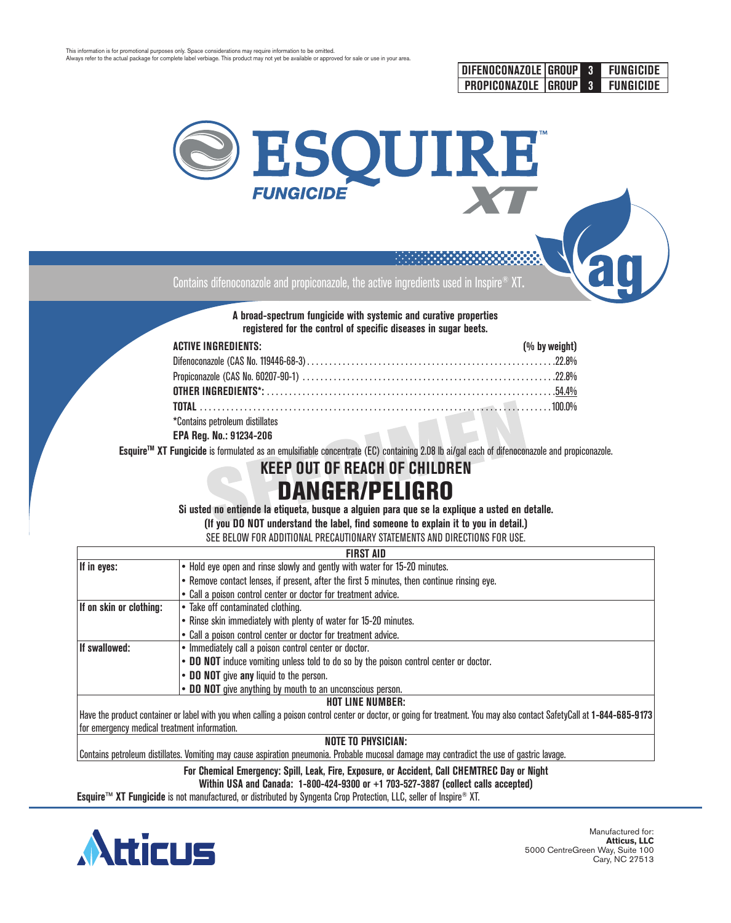



Contains difenoconazole and propiconazole, the active ingredients used in Inspire® XT**.**

**A broad-spectrum fungicide with systemic and curative properties registered for the control of specific diseases in sugar beets.**

| <b>ACTIVE INGREDIENTS:</b>      | (% by weight) |
|---------------------------------|---------------|
|                                 |               |
|                                 |               |
|                                 |               |
|                                 |               |
| *Contains petroleum distillates |               |

**EPA Reg. No.: 91234-206**

**EsquireTM XT Fungicide** is formulated as an emulsifiable concentrate (EC) containing 2.08 lb ai/gal each of difenoconazole and propiconazole.

## **KEEP OUT OF REACH OF CHILDREN**

# DANGER/PELIGRO

**Si usted no entiende la etiqueta, busque a alguien para que se la explique a usted en detalle.** 

**(If you DO NOT understand the label, find someone to explain it to you in detail.)**

SEE BELOW FOR ADDITIONAL PRECAUTIONARY STATEMENTS AND DIRECTIONS FOR USE.

| <b>FIRST AID</b>                                                                                                                                                       |                                                                                            |  |  |  |  |
|------------------------------------------------------------------------------------------------------------------------------------------------------------------------|--------------------------------------------------------------------------------------------|--|--|--|--|
| If in eyes:                                                                                                                                                            | • Hold eye open and rinse slowly and gently with water for 15-20 minutes.                  |  |  |  |  |
|                                                                                                                                                                        | • Remove contact lenses, if present, after the first 5 minutes, then continue rinsing eye. |  |  |  |  |
|                                                                                                                                                                        | • Call a poison control center or doctor for treatment advice.                             |  |  |  |  |
| If on skin or clothing:                                                                                                                                                | • Take off contaminated clothing.                                                          |  |  |  |  |
|                                                                                                                                                                        | • Rinse skin immediately with plenty of water for 15-20 minutes.                           |  |  |  |  |
|                                                                                                                                                                        | • Call a poison control center or doctor for treatment advice.                             |  |  |  |  |
| <b>If swallowed:</b>                                                                                                                                                   | • Immediately call a poison control center or doctor.                                      |  |  |  |  |
|                                                                                                                                                                        | • DO NOT induce vomiting unless told to do so by the poison control center or doctor.      |  |  |  |  |
|                                                                                                                                                                        | • DO NOT give any liquid to the person.                                                    |  |  |  |  |
| • DO NOT give anything by mouth to an unconscious person.                                                                                                              |                                                                                            |  |  |  |  |
| <b>HOT LINE NUMBER:</b>                                                                                                                                                |                                                                                            |  |  |  |  |
| Have the product container or label with you when calling a poison control center or doctor, or going for treatment. You may also contact SafetyCall at 1-844-685-9173 |                                                                                            |  |  |  |  |
| for emergency medical treatment information.                                                                                                                           |                                                                                            |  |  |  |  |
| <b>NOTE TO PHYSICIAN:</b>                                                                                                                                              |                                                                                            |  |  |  |  |

Contains petroleum distillates. Vomiting may cause aspiration pneumonia. Probable mucosal damage may contradict the use of gastric lavage.

**For Chemical Emergency: Spill, Leak, Fire, Exposure, or Accident, Call CHEMTREC Day or Night**

**Within USA and Canada: 1-800-424-9300 or +1 703-527-3887 (collect calls accepted)**

**Esquire™ XT Fungicide** is not manufactured, or distributed by Syngenta Crop Protection, LLC, seller of Inspire® XT.

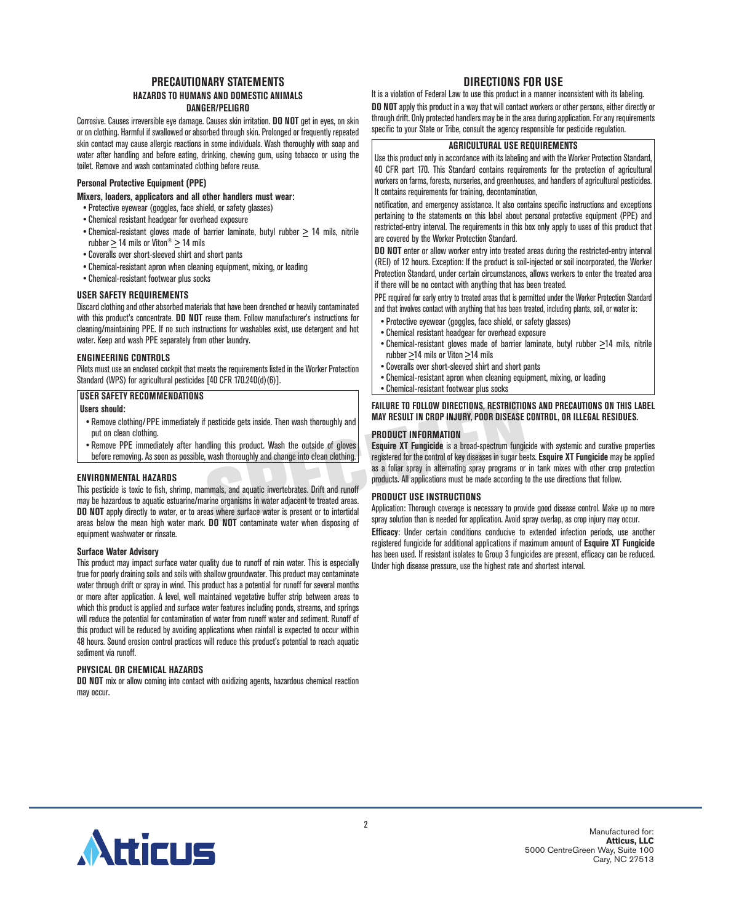#### **PRECAUTIONARY STATEMENTS HAZARDS TO HUMANS AND DOMESTIC ANIMALS DANGER/PELIGRO**

Corrosive. Causes irreversible eye damage. Causes skin irritation. **DO NOT** get in eyes, on skin or on clothing. Harmful if swallowed or absorbed through skin. Prolonged or frequently repeated skin contact may cause allergic reactions in some individuals. Wash thoroughly with soap and water after handling and before eating, drinking, chewing gum, using tobacco or using the toilet. Remove and wash contaminated clothing before reuse.

#### **Personal Protective Equipment (PPE)**

#### **Mixers, loaders, applicators and all other handlers must wear:**

- Protective eyewear (goggles, face shield, or safety glasses)
- Chemical resistant headgear for overhead exposure
- Chemical-resistant gloves made of barrier laminate, butyl rubber  $\geq 14$  mils, nitrile rubber  $\geq 14$  mils or Viton®  $\geq 14$  mils
- Coveralls over short-sleeved shirt and short pants
- Chemical-resistant apron when cleaning equipment, mixing, or loading
- Chemical-resistant footwear plus socks

#### **USER SAFETY REQUIREMENTS**

Discard clothing and other absorbed materials that have been drenched or heavily contaminated with this product's concentrate. **DO NOT** reuse them. Follow manufacturer's instructions for cleaning/maintaining PPE. If no such instructions for washables exist, use detergent and hot water. Keep and wash PPE separately from other laundry.

#### **ENGINEERING CONTROLS**

Pilots must use an enclosed cockpit that meets the requirements listed in the Worker Protection Standard (WPS) for agricultural pesticides [40 CFR 170.240(d)(6)].

#### **USER SAFETY RECOMMENDATIONS**

#### **Users should:**

- Remove clothing/PPE immediately if pesticide gets inside. Then wash thoroughly and put on clean clothing.
- Remove PPE immediately after handling this product. Wash the outside of gloves before removing. As soon as possible, wash thoroughly and change into clean clothing.

#### **ENVIRONMENTAL HAZARDS**

This pesticide is toxic to fish, shrimp, mammals, and aquatic invertebrates. Drift and runoff may be hazardous to aquatic estuarine/marine organisms in water adjacent to treated areas. **DO NOT** apply directly to water, or to areas where surface water is present or to intertidal areas below the mean high water mark. **DO NOT** contaminate water when disposing of equipment washwater or rinsate.

#### **Surface Water Advisory**

This product may impact surface water quality due to runoff of rain water. This is especially true for poorly draining soils and soils with shallow groundwater. This product may contaminate water through drift or spray in wind. This product has a potential for runoff for several months or more after application. A level, well maintained vegetative buffer strip between areas to which this product is applied and surface water features including ponds, streams, and springs will reduce the potential for contamination of water from runoff water and sediment. Runoff of this product will be reduced by avoiding applications when rainfall is expected to occur within 48 hours. Sound erosion control practices will reduce this product's potential to reach aquatic sediment via runoff.

#### **PHYSICAL OR CHEMICAL HAZARDS**

**DO NOT** mix or allow coming into contact with oxidizing agents, hazardous chemical reaction may occur.

### **DIRECTIONS FOR USE**

It is a violation of Federal Law to use this product in a manner inconsistent with its labeling. **DO NOT** apply this product in a way that will contact workers or other persons, either directly or through drift. Only protected handlers may be in the area during application. For any requirements specific to your State or Tribe, consult the agency responsible for pesticide regulation.

#### **AGRICULTURAL USE REQUIREMENTS**

Use this product only in accordance with its labeling and with the Worker Protection Standard, 40 CFR part 170. This Standard contains requirements for the protection of agricultural workers on farms, forests, nurseries, and greenhouses, and handlers of agricultural pesticides. It contains requirements for training, decontamination,

notification, and emergency assistance. It also contains specific instructions and exceptions pertaining to the statements on this label about personal protective equipment (PPE) and restricted-entry interval. The requirements in this box only apply to uses of this product that are covered by the Worker Protection Standard.

**DO NOT** enter or allow worker entry into treated areas during the restricted-entry interval (REI) of 12 hours. Exception: If the product is soil-injected or soil incorporated, the Worker Protection Standard, under certain circumstances, allows workers to enter the treated area if there will be no contact with anything that has been treated.

PPE required for early entry to treated areas that is permitted under the Worker Protection Standard and that involves contact with anything that has been treated, including plants, soil, or water is:

- Protective eyewear (goggles, face shield, or safety glasses)
- Chemical resistant headgear for overhead exposure
- Chemical-resistant gloves made of barrier laminate, butyl rubber  $\geq$ 14 mils, nitrile rubber  $\geq$ 14 mils or Viton  $\geq$ 14 mils
- Coveralls over short-sleeved shirt and short pants
- Chemical-resistant apron when cleaning equipment, mixing, or loading
- Chemical-resistant footwear plus socks

#### **FAILURE TO FOLLOW DIRECTIONS, RESTRICTIONS AND PRECAUTIONS ON THIS LABEL MAY RESULT IN CROP INJURY, POOR DISEASE CONTROL, OR ILLEGAL RESIDUES.**

#### **PRODUCT INFORMATION**

**Esquire XT Fungicide** is a broad-spectrum fungicide with systemic and curative properties registered for the control of key diseases in sugar beets. **Esquire XT Fungicide** may be applied as a foliar spray in alternating spray programs or in tank mixes with other crop protection products. All applications must be made according to the use directions that follow.

#### **PRODUCT USE INSTRUCTIONS**

Application: Thorough coverage is necessary to provide good disease control. Make up no more spray solution than is needed for application. Avoid spray overlap, as crop injury may occur.

**Efficacy**: Under certain conditions conducive to extended infection periods, use another registered fungicide for additional applications if maximum amount of **Esquire XT Fungicide**  has been used. If resistant isolates to Group 3 fungicides are present, efficacy can be reduced. Under high disease pressure, use the highest rate and shortest interval.

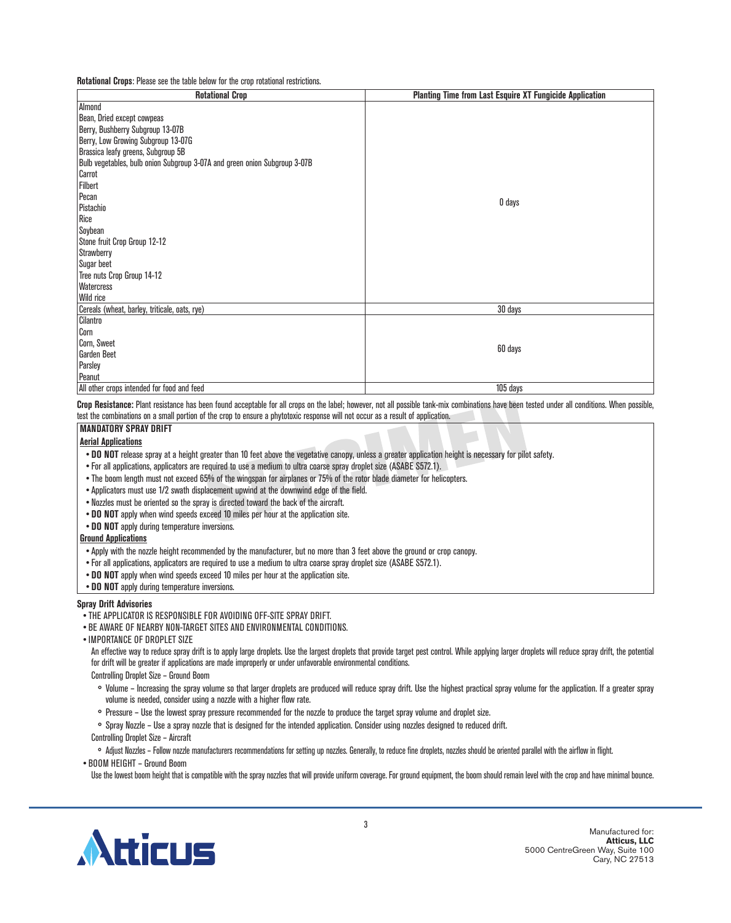**Rotational Crops**: Please see the table below for the crop rotational restrictions.

| <b>Rotational Crop</b>                                                    | <b>Planting Time from Last Esquire XT Fungicide Application</b> |
|---------------------------------------------------------------------------|-----------------------------------------------------------------|
| Almond                                                                    |                                                                 |
| Bean, Dried except cowpeas                                                |                                                                 |
| Berry, Bushberry Subgroup 13-07B                                          |                                                                 |
| Berry, Low Growing Subgroup 13-07G                                        |                                                                 |
| Brassica leafy greens, Subgroup 5B                                        |                                                                 |
| Bulb vegetables, bulb onion Subgroup 3-07A and green onion Subgroup 3-07B |                                                                 |
| Carrot                                                                    |                                                                 |
| Filbert                                                                   |                                                                 |
| Pecan                                                                     | 0 days                                                          |
| Pistachio                                                                 |                                                                 |
| Rice                                                                      |                                                                 |
| Soybean                                                                   |                                                                 |
| Stone fruit Crop Group 12-12                                              |                                                                 |
| Strawberry                                                                |                                                                 |
| Sugar beet                                                                |                                                                 |
| Tree nuts Crop Group 14-12                                                |                                                                 |
| <b>Watercress</b>                                                         |                                                                 |
| <b>Wild rice</b>                                                          |                                                                 |
| Cereals (wheat, barley, triticale, oats, rye)                             | 30 days                                                         |
| Cilantro                                                                  |                                                                 |
| Corn                                                                      |                                                                 |
| Corn, Sweet                                                               | 60 days                                                         |
| <b>Garden Beet</b>                                                        |                                                                 |
| Parsley                                                                   |                                                                 |
| Peanut                                                                    |                                                                 |
| All other crops intended for food and feed                                | 105 days                                                        |

**Crop Resistance:** Plant resistance has been found acceptable for all crops on the label; however, not all possible tank-mix combinations have been tested under all conditions. When possible, test the combinations on a small portion of the crop to ensure a phytotoxic response will not occur as a result of application.

#### **MANDATORY SPRAY DRIFT**

#### **Aerial Applications**

- **• DO NOT** release spray at a height greater than 10 feet above the vegetative canopy, unless a greater application height is necessary for pilot safety.
- For all applications, applicators are required to use a medium to ultra coarse spray droplet size (ASABE S572.1).
- The boom length must not exceed 65% of the wingspan for airplanes or 75% of the rotor blade diameter for helicopters.
- •Applicators must use 1/2 swath displacement upwind at the downwind edge of the field.
- Nozzles must be oriented so the spray is directed toward the back of the aircraft.
- **• DO NOT** apply when wind speeds exceed 10 miles per hour at the application site.
- **• DO NOT** apply during temperature inversions.

#### **Ground Applications**

- •Apply with the nozzle height recommended by the manufacturer, but no more than 3 feet above the ground or crop canopy.
- For all applications, applicators are required to use a medium to ultra coarse spray droplet size (ASABE S572.1).
- **DO NOT** apply when wind speeds exceed 10 miles per hour at the application site.
- **• DO NOT** apply during temperature inversions.

#### **Spray Drift Advisories**

- THE APPLICATOR IS RESPONSIBLE FOR AVOIDING OFF-SITE SPRAY DRIFT.
- BE AWARE OF NEARBY NON-TARGET SITES AND ENVIRONMENTAL CONDITIONS.
- IMPORTANCE OF DROPLET SIZE

An effective way to reduce spray drift is to apply large droplets. Use the largest droplets that provide target pest control. While applying larger droplets will reduce spray drift, the potential for drift will be greater if applications are made improperly or under unfavorable environmental conditions.

Controlling Droplet Size – Ground Boom

- ° Volume Increasing the spray volume so that larger droplets are produced will reduce spray drift. Use the highest practical spray volume for the application. If a greater spray volume is needed, consider using a nozzle with a higher flow rate.
- ° Pressure Use the lowest spray pressure recommended for the nozzle to produce the target spray volume and droplet size.
- ° Spray Nozzle Use a spray nozzle that is designed for the intended application. Consider using nozzles designed to reduced drift.

Controlling Droplet Size – Aircraft

° Adjust Nozzles – Follow nozzle manufacturers recommendations for setting up nozzles. Generally, to reduce fine droplets, nozzles should be oriented parallel with the airflow in flight.

• BOOM HEIGHT – Ground Boom

Use the lowest boom height that is compatible with the spray nozzles that will provide uniform coverage. For ground equipment, the boom should remain level with the crop and have minimal bounce.

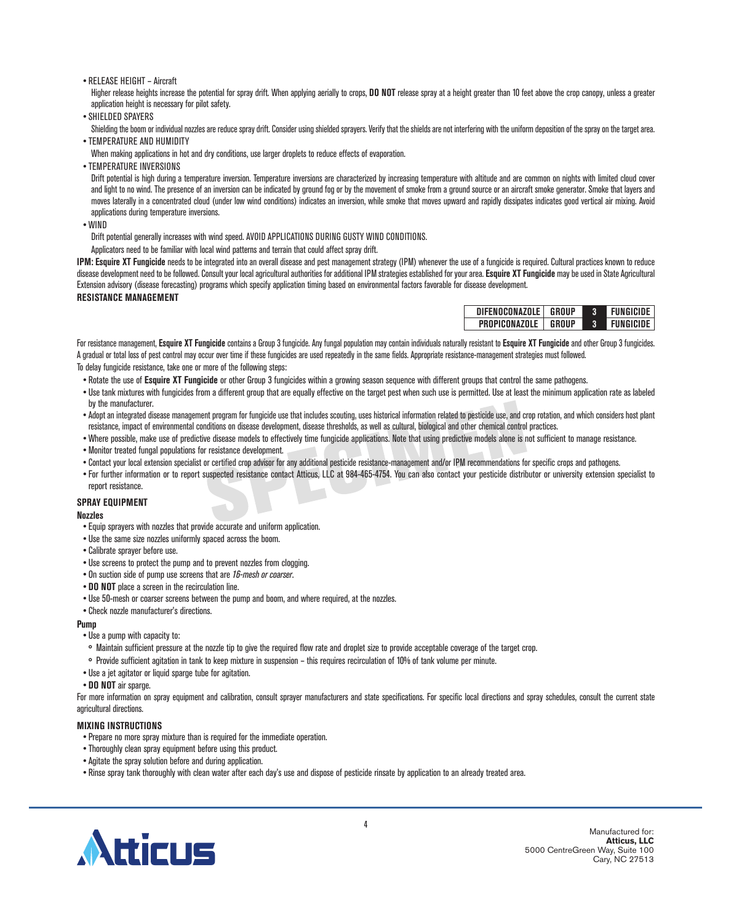#### • RELEASE HEIGHT – Aircraft

Higher release heights increase the potential for spray drift. When applying aerially to crops, **DO NOT** release spray at a height greater than 10 feet above the crop canopy, unless a greater application height is necessary for pilot safety.

•SHIELDED SPAYERS

Shielding the boom or individual nozzles are reduce spray drift. Consider using shielded sprayers. Verify that the shields are not interfering with the uniform deposition of the spray on the target area. • TEMPERATURE AND HUMIDITY

When making applications in hot and dry conditions, use larger droplets to reduce effects of evaporation.

• TEMPERATURE INVERSIONS

Drift potential is high during a temperature inversion. Temperature inversions are characterized by increasing temperature with altitude and are common on nights with limited cloud cover and light to no wind. The presence of an inversion can be indicated by ground fog or by the movement of smoke from a ground source or an aircraft smoke generator. Smoke that layers and moves laterally in a concentrated cloud (under low wind conditions) indicates an inversion, while smoke that moves upward and rapidly dissipates indicates good vertical air mixing. Avoid applications during temperature inversions.

• WIND

Drift potential generally increases with wind speed. AVOID APPLICATIONS DURING GUSTY WIND CONDITIONS.

Applicators need to be familiar with local wind patterns and terrain that could affect spray drift.

IPM: Esquire XT Fungicide needs to be integrated into an overall disease and pest management strategy (IPM) whenever the use of a fungicide is required. Cultural practices known to reduce disease development need to be followed. Consult your local agricultural authorities for additional IPM strategies established for your area. **Esquire XT Fungicide** may be used in State Agricultural Extension advisory (disease forecasting) programs which specify application timing based on environmental factors favorable for disease development.

#### **RESISTANCE MANAGEMENT**

| DIFENOCONAZOLE | GROUP | <b>FUNGICIDE</b> |
|----------------|-------|------------------|
| PROPICONAZOLE  | GROUP | <b>FUNGICIDE</b> |

For resistance management, **Esquire XT Fungicide** contains a Group 3 fungicide. Any fungal population may contain individuals naturally resistant to **Esquire XT Fungicide** and other Group 3 fungicides. A gradual or total loss of pest control may occur over time if these fungicides are used repeatedly in the same fields. Appropriate resistance-management strategies must followed.

To delay fungicide resistance, take one or more of the following steps:

- Rotate the use of **Esquire XT Fungicide** or other Group 3 fungicides within a growing season sequence with different groups that control the same pathogens.
- Use tank mixtures with fungicides from a different group that are equally effective on the target pest when such use is permitted. Use at least the minimum application rate as labeled by the manufacturer.
- Adopt an integrated disease management program for fungicide use that includes scouting, uses historical information related to pesticide use, and crop rotation, and which considers host plant resistance, impact of environmental conditions on disease development, disease thresholds, as well as cultural, biological and other chemical control practices.
- Where possible, make use of predictive disease models to effectively time fungicide applications. Note that using predictive models alone is not sufficient to manage resistance.
- Monitor treated fungal populations for resistance development.
- Contact your local extension specialist or certified crop advisor for any additional pesticide resistance-management and/or IPM recommendations for specific crops and pathogens.
- For further information or to report suspected resistance contact Atticus, LLC at 984-465-4754. You can also contact your pesticide distributor or university extension specialist to report resistance.

#### **SPRAY EQUIPMENT**

#### **Nozzles**

- •Equip sprayers with nozzles that provide accurate and uniform application.
- Use the same size nozzles uniformly spaced across the boom.
- Calibrate sprayer before use.
- Use screens to protect the pump and to prevent nozzles from clogging.
- On suction side of pump use screens that are 16-mesh or coarser.
- **• DO NOT** place a screen in the recirculation line.
- Use 50-mesh or coarser screens between the pump and boom, and where required, at the nozzles.
- Check nozzle manufacturer's directions.

#### **Pump**

- Use a pump with capacity to:
- ° Maintain sufficient pressure at the nozzle tip to give the required flow rate and droplet size to provide acceptable coverage of the target crop.
- ° Provide sufficient agitation in tank to keep mixture in suspension this requires recirculation of 10% of tank volume per minute.
- Use a jet agitator or liquid sparge tube for agitation.
- **• DO NOT** air sparge.

For more information on spray equipment and calibration, consult sprayer manufacturers and state specifications. For specific local directions and spray schedules, consult the current state agricultural directions.

#### **MIXING INSTRUCTIONS**

- Prepare no more spray mixture than is required for the immediate operation.
- Thoroughly clean spray equipment before using this product.
- •Agitate the spray solution before and during application.
- Rinse spray tank thoroughly with clean water after each day's use and dispose of pesticide rinsate by application to an already treated area.

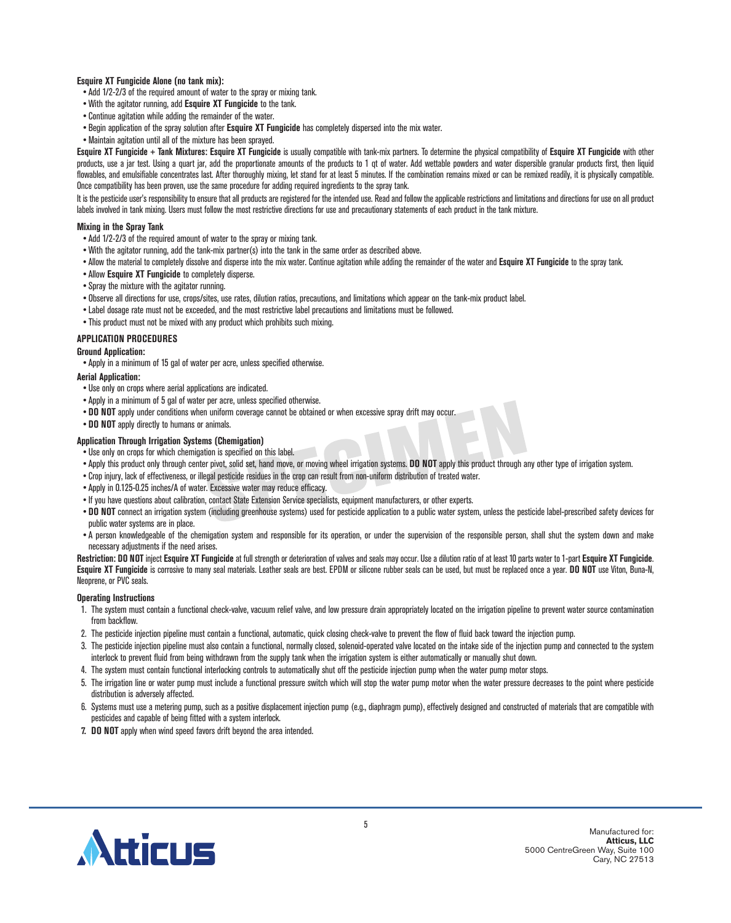#### **Esquire XT Fungicide Alone (no tank mix):**

- •Add 1/2-2/3 of the required amount of water to the spray or mixing tank.
- With the agitator running, add **Esquire XT Fungicide** to the tank.
- Continue agitation while adding the remainder of the water.
- Begin application of the spray solution after **Esquire XT Fungicide** has completely dispersed into the mix water.
- Maintain agitation until all of the mixture has been sprayed.

**Esquire XT Fungicide + Tank Mixtures: Esquire XT Fungicide** is usually compatible with tank-mix partners. To determine the physical compatibility of **Esquire XT Fungicide** with other products, use a jar test. Using a quart jar, add the proportionate amounts of the products to 1 qt of water. Add wettable powders and water dispersible granular products first, then liquid flowables, and emulsifiable concentrates last. After thoroughly mixing, let stand for at least 5 minutes. If the combination remains mixed or can be remixed readily, it is physically compatible. Once compatibility has been proven, use the same procedure for adding required ingredients to the spray tank.

It is the pesticide user's responsibility to ensure that all products are registered for the intended use. Read and follow the applicable restrictions and limitations and directions for use on all product labels involved in tank mixing. Users must follow the most restrictive directions for use and precautionary statements of each product in the tank mixture.

#### **Mixing in the Spray Tank**

- •Add 1/2-2/3 of the required amount of water to the spray or mixing tank.
- With the agitator running, add the tank-mix partner(s) into the tank in the same order as described above.
- Allow the material to completely dissolve and disperse into the mix water. Continue agitation while adding the remainder of the water and **Esquire XT Fungicide** to the spray tank.
- •Allow **Esquire XT Fungicide** to completely disperse.
- •Spray the mixture with the agitator running.
- Observe all directions for use, crops/sites, use rates, dilution ratios, precautions, and limitations which appear on the tank-mix product label.
- Label dosage rate must not be exceeded, and the most restrictive label precautions and limitations must be followed.
- This product must not be mixed with any product which prohibits such mixing.

#### **APPLICATION PROCEDURES**

#### **Ground Application:**

•Apply in a minimum of 15 gal of water per acre, unless specified otherwise.

#### **Aerial Application:**

- Use only on crops where aerial applications are indicated.
- •Apply in a minimum of 5 gal of water per acre, unless specified otherwise.
- **• DO NOT** apply under conditions when uniform coverage cannot be obtained or when excessive spray drift may occur.
- **• DO NOT** apply directly to humans or animals.

#### **Application Through Irrigation Systems (Chemigation)**

- Use only on crops for which chemigation is specified on this label.
- •Apply this product only through center pivot, solid set, hand move, or moving wheel irrigation systems. **DO NOT** apply this product through any other type of irrigation system.
- Crop injury, lack of effectiveness, or illegal pesticide residues in the crop can result from non-uniform distribution of treated water.
- •Apply in 0.125-0.25 inches/A of water. Excessive water may reduce efficacy.
- If you have questions about calibration, contact State Extension Service specialists, equipment manufacturers, or other experts.
- DO NOT connect an irrigation system (including greenhouse systems) used for pesticide application to a public water system, unless the pesticide label-prescribed safety devices for public water systems are in place.
- •A person knowledgeable of the chemigation system and responsible for its operation, or under the supervision of the responsible person, shall shut the system down and make necessary adjustments if the need arises.

**Restriction: DO NOT** inject **Esquire XT Fungicide** at full strength or deterioration of valves and seals may occur. Use a dilution ratio of at least 10 parts water to 1-part **Esquire XT Fungicide**. **Esquire XT Fungicide** is corrosive to many seal materials. Leather seals are best. EPDM or silicone rubber seals can be used, but must be replaced once a year. **DO NOT** use Viton, Buna-N, Neoprene, or PVC seals.

#### **Operating Instructions**

- 1. The system must contain a functional check-valve, vacuum relief valve, and low pressure drain appropriately located on the irrigation pipeline to prevent water source contamination from backflow.
- 2. The pesticide injection pipeline must contain a functional, automatic, quick closing check-valve to prevent the flow of fluid back toward the injection pump.
- 3. The pesticide injection pipeline must also contain a functional, normally closed, solenoid-operated valve located on the intake side of the injection pump and connected to the system interlock to prevent fluid from being withdrawn from the supply tank when the irrigation system is either automatically or manually shut down.
- 4. The system must contain functional interlocking controls to automatically shut off the pesticide injection pump when the water pump motor stops.
- 5. The irrigation line or water pump must include a functional pressure switch which will stop the water pump motor when the water pressure decreases to the point where pesticide distribution is adversely affected.
- 6. Systems must use a metering pump, such as a positive displacement injection pump (e.g., diaphragm pump), effectively designed and constructed of materials that are compatible with pesticides and capable of being fitted with a system interlock.
- **7. DO NOT** apply when wind speed favors drift beyond the area intended.

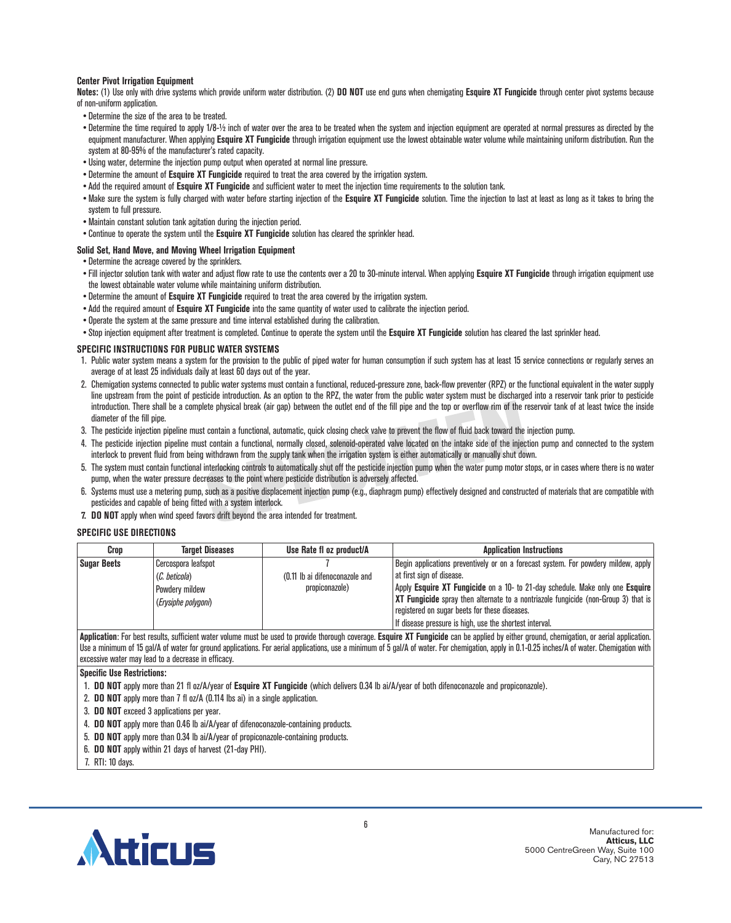#### **Center Pivot Irrigation Equipment**

**Notes:** (1) Use only with drive systems which provide uniform water distribution. (2) **DO NOT** use end guns when chemigating **Esquire XT Fungicide** through center pivot systems because of non-uniform application.

- Determine the size of the area to be treated.
- Determine the time required to apply 1/8-½ inch of water over the area to be treated when the system and injection equipment are operated at normal pressures as directed by the equipment manufacturer. When applying **Esquire XT Fungicide** through irrigation equipment use the lowest obtainable water volume while maintaining uniform distribution. Run the system at 80-95% of the manufacturer's rated capacity.
- Using water, determine the injection pump output when operated at normal line pressure.
- Determine the amount of **Esquire XT Fungicide** required to treat the area covered by the irrigation system.
- •Add the required amount of **Esquire XT Fungicide** and sufficient water to meet the injection time requirements to the solution tank.
- Make sure the system is fully charged with water before starting injection of the **Esquire XT Fungicide** solution. Time the injection to last at least as long as it takes to bring the system to full pressure.
- Maintain constant solution tank agitation during the injection period.
- Continue to operate the system until the **Esquire XT Fungicide** solution has cleared the sprinkler head.

#### **Solid Set, Hand Move, and Moving Wheel Irrigation Equipment**

- Determine the acreage covered by the sprinklers.
- Fill injector solution tank with water and adjust flow rate to use the contents over a 20 to 30-minute interval. When applying **Esquire XT Fungicide** through irrigation equipment use the lowest obtainable water volume while maintaining uniform distribution.
- Determine the amount of **Esquire XT Fungicide** required to treat the area covered by the irrigation system.
- •Add the required amount of **Esquire XT Fungicide** into the same quantity of water used to calibrate the injection period.
- Operate the system at the same pressure and time interval established during the calibration.
- •Stop injection equipment after treatment is completed. Continue to operate the system until the **Esquire XT Fungicide** solution has cleared the last sprinkler head.

#### **SPECIFIC INSTRUCTIONS FOR PUBLIC WATER SYSTEMS**

- 1. Public water system means a system for the provision to the public of piped water for human consumption if such system has at least 15 service connections or regularly serves an average of at least 25 individuals daily at least 60 days out of the year.
- 2. Chemigation systems connected to public water systems must contain a functional, reduced-pressure zone, back-flow preventer (RPZ) or the functional equivalent in the water supply line upstream from the point of pesticide introduction. As an option to the RPZ, the water from the public water system must be discharged into a reservoir tank prior to pesticide introduction. There shall be a complete physical break (air gap) between the outlet end of the fill pipe and the top or overflow rim of the reservoir tank of at least twice the inside diameter of the fill pipe.
- 3. The pesticide injection pipeline must contain a functional, automatic, quick closing check valve to prevent the flow of fluid back toward the injection pump.
- 4. The pesticide injection pipeline must contain a functional, normally closed, solenoid-operated valve located on the intake side of the injection pump and connected to the system interlock to prevent fluid from being withdrawn from the supply tank when the irrigation system is either automatically or manually shut down.
- 5. The system must contain functional interlocking controls to automatically shut off the pesticide injection pump when the water pump motor stops, or in cases where there is no water pump, when the water pressure decreases to the point where pesticide distribution is adversely affected.
- 6. Systems must use a metering pump, such as a positive displacement injection pump (e.g., diaphragm pump) effectively designed and constructed of materials that are compatible with pesticides and capable of being fitted with a system interlock.
- **7. DO NOT** apply when wind speed favors drift beyond the area intended for treatment.

#### **SPECIFIC USE DIRECTIONS**

| Crop               | <b>Target Diseases</b> | Use Rate fl oz product/A                      | <b>Application Instructions</b>                                                    |
|--------------------|------------------------|-----------------------------------------------|------------------------------------------------------------------------------------|
| <b>Sugar Beets</b> | Cercospora leafspot    |                                               | Begin applications preventively or on a forecast system. For powdery mildew, apply |
|                    | (C. beticola)          | (0.11 lb ai difenoconazole and                | at first sign of disease.                                                          |
|                    | Powdery mildew         | propiconazole)                                | Apply Esquire XT Fungicide on a 10- to 21-day schedule. Make only one Esquire      |
|                    | (Erysiphe polygoni)    |                                               | XT Fungicide spray then alternate to a nontriazole fungicide (non-Group 3) that is |
|                    |                        | registered on sugar beets for these diseases. |                                                                                    |
|                    |                        |                                               | If disease pressure is high, use the shortest interval.                            |

**Application**: For best results, sufficient water volume must be used to provide thorough coverage. **Esquire XT Fungicide** can be applied by either ground, chemigation, or aerial application. Use a minimum of 15 gal/A of water for ground applications. For aerial applications, use a minimum of 5 gal/A of water. For chemigation, apply in 0.1-0.25 inches/A of water. Chemigation with excessive water may lead to a decrease in efficacy.

**Specific Use Restrictions:**

- 1. **DO NOT** apply more than 21 fl oz/A/year of **Esquire XT Fungicide** (which delivers 0.34 lb ai/A/year of both difenoconazole and propiconazole).
- 2. **DO NOT** apply more than 7 fl oz/A (0.114 lbs ai) in a single application.
- 3. **DO NOT** exceed 3 applications per year.
- 4. **DO NOT** apply more than 0.46 lb ai/A/year of difenoconazole-containing products.
- 5. **DO NOT** apply more than 0.34 lb ai/A/year of propiconazole-containing products.
- 6. **DO NOT** apply within 21 days of harvest (21-day PHI).

7. RTI: 10 days.